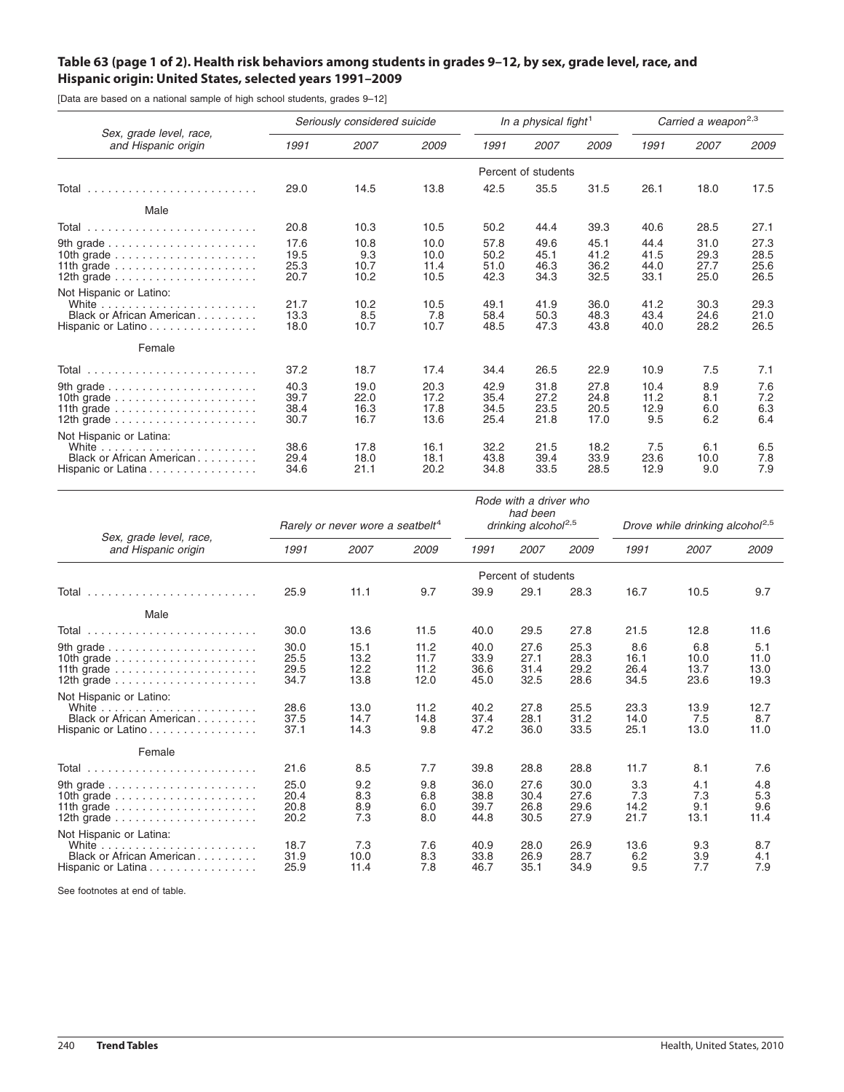## Table 63 (page 1 of 2). Health risk behaviors among students in grades 9-12, by sex, grade level, race, and **Hispanic origin: United States, selected years 1991–2009**

[Data are based on a national sample of high school students, grades 9–12]

| Sex, grade level, race,<br>and Hispanic origin                                                                                                                             | Seriously considered suicide |                              |                              | In a physical fight <sup>1</sup> |                              |                              | Carried a weapon <sup>2,3</sup> |                              |                              |
|----------------------------------------------------------------------------------------------------------------------------------------------------------------------------|------------------------------|------------------------------|------------------------------|----------------------------------|------------------------------|------------------------------|---------------------------------|------------------------------|------------------------------|
|                                                                                                                                                                            | 1991                         | 2007                         | 2009                         | 1991                             | 2007                         | 2009                         | 1991                            | 2007                         | 2009                         |
|                                                                                                                                                                            | Percent of students          |                              |                              |                                  |                              |                              |                                 |                              |                              |
| Total                                                                                                                                                                      | 29.0                         | 14.5                         | 13.8                         | 42.5                             | 35.5                         | 31.5                         | 26.1                            | 18.0                         | 17.5                         |
| Male                                                                                                                                                                       |                              |                              |                              |                                  |                              |                              |                                 |                              |                              |
| Total                                                                                                                                                                      | 20.8                         | 10.3                         | 10.5                         | 50.2                             | 44.4                         | 39.3                         | 40.6                            | 28.5                         | 27.1                         |
| 10th grade $\ldots \ldots \ldots \ldots \ldots \ldots$<br>11th grade $\ldots \ldots \ldots \ldots \ldots \ldots$<br>12th grade $\ldots \ldots \ldots \ldots \ldots \ldots$ | 17.6<br>19.5<br>25.3<br>20.7 | 10.8<br>9.3<br>10.7<br>10.2  | 10.0<br>10.0<br>11.4<br>10.5 | 57.8<br>50.2<br>51.0<br>42.3     | 49.6<br>45.1<br>46.3<br>34.3 | 45.1<br>41.2<br>36.2<br>32.5 | 44.4<br>41.5<br>44.0<br>33.1    | 31.0<br>29.3<br>27.7<br>25.0 | 27.3<br>28.5<br>25.6<br>26.5 |
| Not Hispanic or Latino:<br>Black or African American<br>Hispanic or Latino                                                                                                 | 21.7<br>13.3<br>18.0         | 10.2<br>8.5<br>10.7          | 10.5<br>7.8<br>10.7          | 49.1<br>58.4<br>48.5             | 41.9<br>50.3<br>47.3         | 36.0<br>48.3<br>43.8         | 41.2<br>43.4<br>40.0            | 30.3<br>24.6<br>28.2         | 29.3<br>21.0<br>26.5         |
| Female                                                                                                                                                                     |                              |                              |                              |                                  |                              |                              |                                 |                              |                              |
| Total                                                                                                                                                                      | 37.2                         | 18.7                         | 17.4                         | 34.4                             | 26.5                         | 22.9                         | 10.9                            | 7.5                          | 7.1                          |
| 11th grade $\ldots \ldots \ldots \ldots \ldots \ldots$                                                                                                                     | 40.3<br>39.7<br>38.4<br>30.7 | 19.0<br>22.0<br>16.3<br>16.7 | 20.3<br>17.2<br>17.8<br>13.6 | 42.9<br>35.4<br>34.5<br>25.4     | 31.8<br>27.2<br>23.5<br>21.8 | 27.8<br>24.8<br>20.5<br>17.0 | 10.4<br>11.2<br>12.9<br>9.5     | 8.9<br>8.1<br>6.0<br>6.2     | 7.6<br>7.2<br>6.3<br>6.4     |
| Not Hispanic or Latina:<br>White $\ldots \ldots \ldots \ldots \ldots \ldots \ldots$<br>Black or African American<br>Hispanic or Latina                                     | 38.6<br>29.4<br>34.6         | 17.8<br>18.0<br>21.1         | 16.1<br>18.1<br>20.2         | 32.2<br>43.8<br>34.8             | 21.5<br>39.4<br>33.5         | 18.2<br>33.9<br>28.5         | 7.5<br>23.6<br>12.9             | 6.1<br>10.0<br>9.0           | 6.5<br>7.8<br>7.9            |

| Sex, grade level, race,<br>and Hispanic origin                                                                                                                                                                                      | Rarely or never wore a seatbelt <sup>4</sup> |                              |                              | Rode with a driver who<br>had been<br>drinking alcohol <sup>2,5</sup> |                              |                              | Drove while drinking alcohol <sup>2,5</sup> |                             |                             |
|-------------------------------------------------------------------------------------------------------------------------------------------------------------------------------------------------------------------------------------|----------------------------------------------|------------------------------|------------------------------|-----------------------------------------------------------------------|------------------------------|------------------------------|---------------------------------------------|-----------------------------|-----------------------------|
|                                                                                                                                                                                                                                     | 1991                                         | 2007                         | 2009                         | 1991                                                                  | 2007                         | 2009                         | 1991                                        | 2007                        | 2009                        |
|                                                                                                                                                                                                                                     | Percent of students                          |                              |                              |                                                                       |                              |                              |                                             |                             |                             |
| Total                                                                                                                                                                                                                               | 25.9                                         | 11.1                         | 9.7                          | 39.9                                                                  | 29.1                         | 28.3                         | 16.7                                        | 10.5                        | 9.7                         |
| Male                                                                                                                                                                                                                                |                                              |                              |                              |                                                                       |                              |                              |                                             |                             |                             |
|                                                                                                                                                                                                                                     | 30.0                                         | 13.6                         | 11.5                         | 40.0                                                                  | 29.5                         | 27.8                         | 21.5                                        | 12.8                        | 11.6                        |
| 9th grade $\ldots \ldots \ldots \ldots \ldots \ldots$<br>10th grade $\ldots \ldots \ldots \ldots \ldots \ldots$<br>11th grade $\ldots \ldots \ldots \ldots \ldots \ldots$<br>12th grade $\ldots \ldots \ldots \ldots \ldots \ldots$ | 30.0<br>25.5<br>29.5<br>34.7                 | 15.1<br>13.2<br>12.2<br>13.8 | 11.2<br>11.7<br>11.2<br>12.0 | 40.0<br>33.9<br>36.6<br>45.0                                          | 27.6<br>27.1<br>31.4<br>32.5 | 25.3<br>28.3<br>29.2<br>28.6 | 8.6<br>16.1<br>26.4<br>34.5                 | 6.8<br>10.0<br>13.7<br>23.6 | 5.1<br>11.0<br>13.0<br>19.3 |
| Not Hispanic or Latino:<br>Black or African American<br>Hispanic or Latino                                                                                                                                                          | 28.6<br>37.5<br>37.1                         | 13.0<br>14.7<br>14.3         | 11.2<br>14.8<br>9.8          | 40.2<br>37.4<br>47.2                                                  | 27.8<br>28.1<br>36.0         | 25.5<br>31.2<br>33.5         | 23.3<br>14.0<br>25.1                        | 13.9<br>7.5<br>13.0         | 12.7<br>8.7<br>11.0         |
| Female                                                                                                                                                                                                                              |                                              |                              |                              |                                                                       |                              |                              |                                             |                             |                             |
| Total                                                                                                                                                                                                                               | 21.6                                         | 8.5                          | 7.7                          | 39.8                                                                  | 28.8                         | 28.8                         | 11.7                                        | 8.1                         | 7.6                         |
| 9th grade $\ldots \ldots \ldots \ldots \ldots \ldots$<br>10th grade $\ldots \ldots \ldots \ldots \ldots \ldots$<br>11th grade $\ldots \ldots \ldots \ldots \ldots \ldots$                                                           | 25.0<br>20.4<br>20.8<br>20.2                 | 9.2<br>8.3<br>8.9<br>7.3     | 9.8<br>6.8<br>6.0<br>8.0     | 36.0<br>38.8<br>39.7<br>44.8                                          | 27.6<br>30.4<br>26.8<br>30.5 | 30.0<br>27.6<br>29.6<br>27.9 | 3.3<br>7.3<br>14.2<br>21.7                  | 4.1<br>7.3<br>9.1<br>13.1   | 4.8<br>5.3<br>9.6<br>11.4   |
| Not Hispanic or Latina:<br>Black or African American<br>Hispanic or Latina                                                                                                                                                          | 18.7<br>31.9<br>25.9                         | 7.3<br>10.0<br>11.4          | 7.6<br>8.3<br>7.8            | 40.9<br>33.8<br>46.7                                                  | 28.0<br>26.9<br>35.1         | 26.9<br>28.7<br>34.9         | 13.6<br>6.2<br>9.5                          | 9.3<br>3.9<br>7.7           | 8.7<br>4.1<br>7.9           |

See footnotes at end of table.